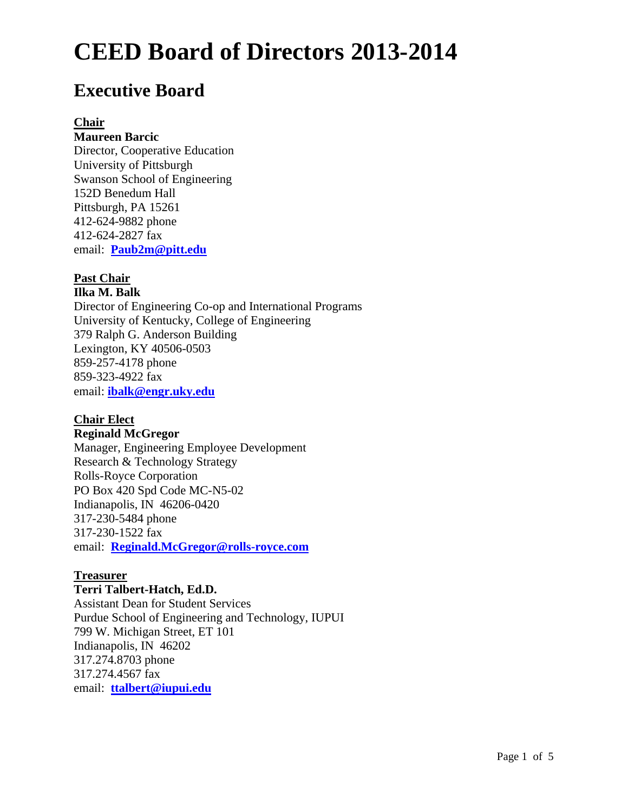# **Executive Board**

### **Chair**

### **Maureen Barcic**

Director, Cooperative Education University of Pittsburgh Swanson School of Engineering 152D Benedum Hall Pittsburgh, PA 15261 412-624-9882 phone 412-624-2827 fax email: **Paub2m@pitt.edu**

## **Past Chair**

**Ilka M. Balk** Director of Engineering Co-op and International Programs University of Kentucky, College of Engineering 379 Ralph G. Anderson Building Lexington, KY 40506-0503 859-257-4178 phone 859-323-4922 fax email: **ibalk@engr.uky.edu**

# **Chair Elect**

# **Reginald McGregor**

Manager, Engineering Employee Development Research & Technology Strategy Rolls-Royce Corporation PO Box 420 Spd Code MC-N5-02 Indianapolis, IN 46206-0420 317-230-5484 phone 317-230-1522 fax email: **Reginald.McGregor@rolls-royce.com**

### **Treasurer**

**Terri Talbert-Hatch, Ed.D.**  Assistant Dean for Student Services Purdue School of Engineering and Technology, IUPUI 799 W. Michigan Street, ET 101 Indianapolis, IN 46202 317.274.8703 phone 317.274.4567 fax email: **ttalbert@iupui.edu**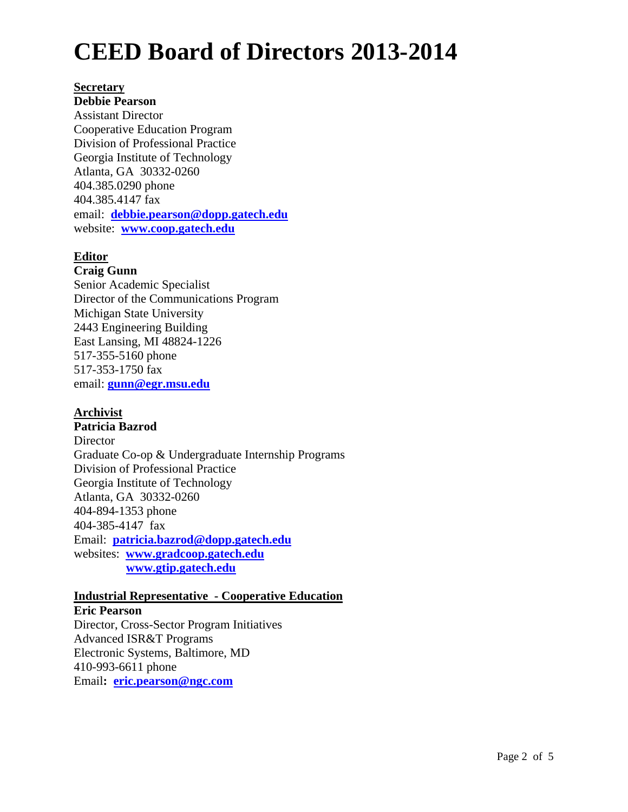#### **Secretary**

**Debbie Pearson** Assistant Director Cooperative Education Program Division of Professional Practice Georgia Institute of Technology Atlanta, GA 30332-0260 404.385.0290 phone 404.385.4147 fax email: **debbie.pearson@dopp.gatech.edu** website: **www.coop.gatech.edu**

### **Editor**

### **Craig Gunn**

Senior Academic Specialist Director of the Communications Program Michigan State University 2443 Engineering Building East Lansing, MI 48824-1226 517-355-5160 phone 517-353-1750 fax email: **gunn@egr.msu.edu** 

### **Archivist**

**Patricia Bazrod Director** Graduate Co-op & Undergraduate Internship Programs Division of Professional Practice Georgia Institute of Technology Atlanta, GA 30332-0260 404-894-1353 phone 404-385-4147 fax Email: **patricia.bazrod@dopp.gatech.edu**  websites: **www.gradcoop.gatech.edu www.gtip.gatech.edu**

#### **Industrial Representative - Cooperative Education**

**Eric Pearson** Director, Cross-Sector Program Initiatives Advanced ISR&T Programs Electronic Systems, Baltimore, MD 410-993-6611 phone Email**: eric.pearson@ngc.com**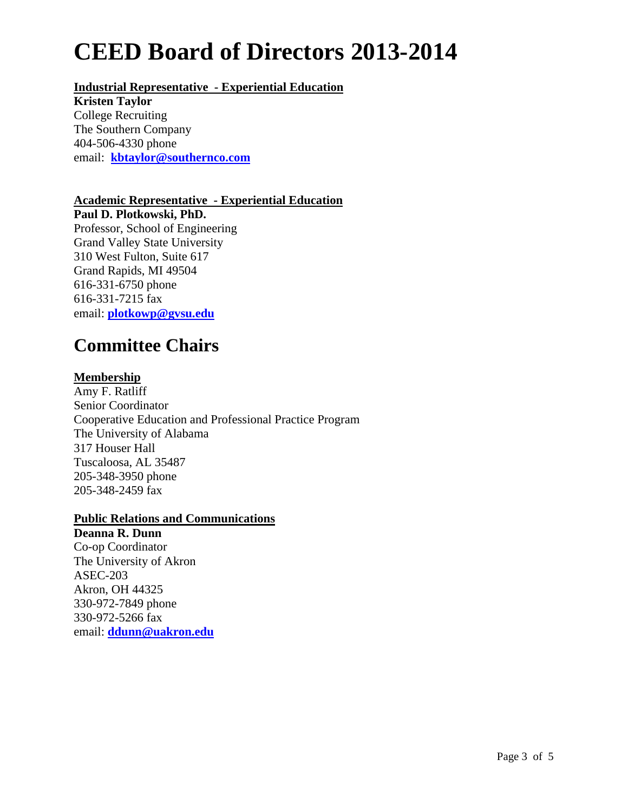## **Industrial Representative - Experiential Education**

**Kristen Taylor** College Recruiting The Southern Company 404-506-4330 phone email: **kbtaylor@southernco.com**

### **Academic Representative - Experiential Education**

**Paul D. Plotkowski, PhD.** Professor, School of Engineering Grand Valley State University 310 West Fulton, Suite 617 Grand Rapids, MI 49504 616-331-6750 phone 616-331-7215 fax email: **plotkowp@gvsu.edu**

# **Committee Chairs**

### **Membership**

Amy F. Ratliff Senior Coordinator Cooperative Education and Professional Practice Program The University of Alabama 317 Houser Hall Tuscaloosa, AL 35487 205-348-3950 phone 205-348-2459 fax

### **Public Relations and Communications**

**Deanna R. Dunn** Co-op Coordinator The University of Akron ASEC-203 Akron, OH 44325 330-972-7849 phone 330-972-5266 fax email: **ddunn@uakron.edu**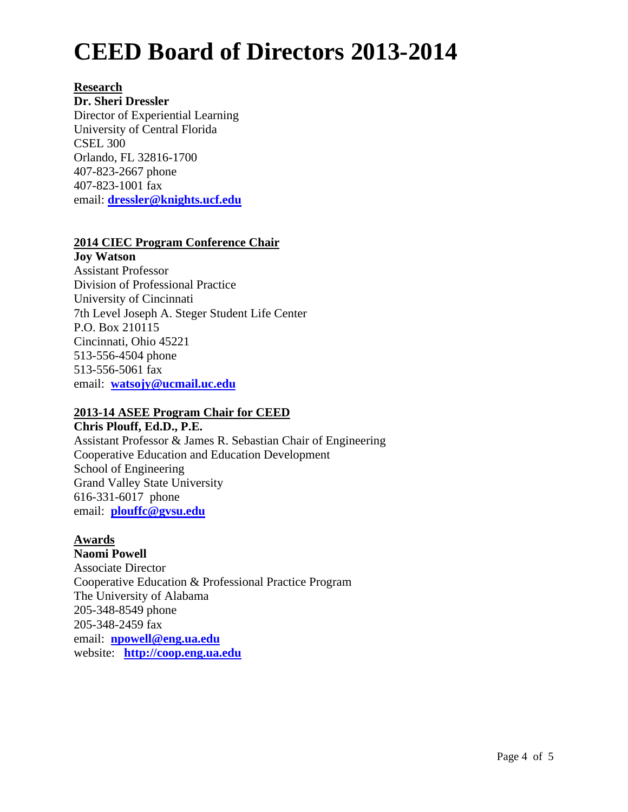### **Research**

**Dr. Sheri Dressler** Director of Experiential Learning University of Central Florida CSEL 300 Orlando, FL 32816-1700 407-823-2667 phone 407-823-1001 fax email: **dressler@knights.ucf.edu** 

### **2014 CIEC Program Conference Chair**

**Joy Watson**  Assistant Professor Division of Professional Practice University of Cincinnati 7th Level Joseph A. Steger Student Life Center P.O. Box 210115 Cincinnati, Ohio 45221 513-556-4504 phone 513-556-5061 fax email: **watsojy@ucmail.uc.edu**

### **2013-14 ASEE Program Chair for CEED**

**Chris Plouff, Ed.D., P.E.**  Assistant Professor & James R. Sebastian Chair of Engineering Cooperative Education and Education Development School of Engineering Grand Valley State University 616-331-6017 phone email: **plouffc@gvsu.edu** 

# **Awards**

**Naomi Powell**  Associate Director Cooperative Education & Professional Practice Program The University of Alabama 205-348-8549 phone 205-348-2459 fax email: **npowell@eng.ua.edu** website: **http://coop.eng.ua.edu**